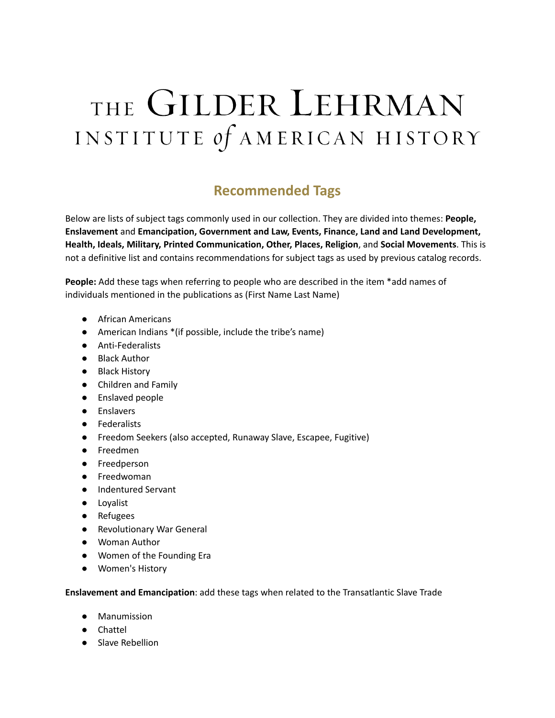# THE GILDER LEHRMAN INSTITUTE of AMERICAN HISTORY

# **Recommended Tags**

Below are lists of subject tags commonly used in our collection. They are divided into themes: **People, Enslavement** and **Emancipation, Government and Law, Events, Finance, Land and Land Development, Health, Ideals, Military, Printed Communication, Other, Places, Religion**, and **Social Movements**. This is not a definitive list and contains recommendations for subject tags as used by previous catalog records.

**People:** Add these tags when referring to people who are described in the item \*add names of individuals mentioned in the publications as (First Name Last Name)

- African Americans
- American Indians \*(if possible, include the tribe's name)
- Anti-Federalists
- Black Author
- Black History
- Children and Family
- Enslaved people
- Enslavers
- Federalists
- Freedom Seekers (also accepted, Runaway Slave, Escapee, Fugitive)
- Freedmen
- Freedperson
- Freedwoman
- Indentured Servant
- Loyalist
- Refugees
- Revolutionary War General
- Woman Author
- Women of the Founding Era
- Women's History

**Enslavement and Emancipation**: add these tags when related to the Transatlantic Slave Trade

- Manumission
- Chattel
- Slave Rebellion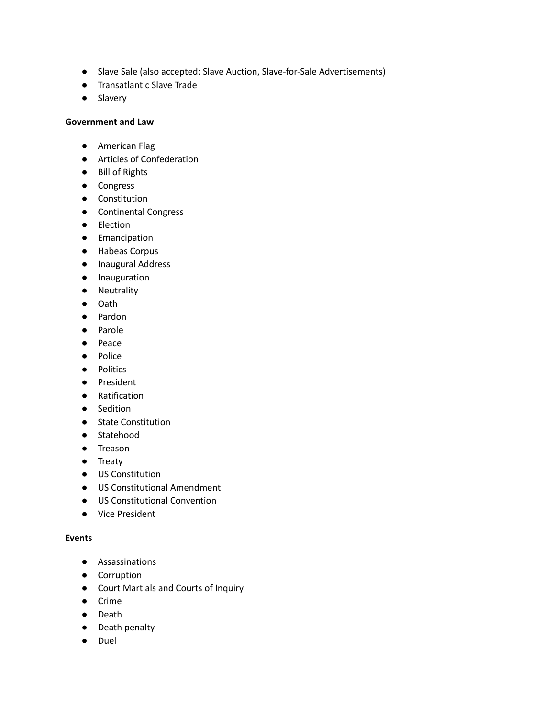- Slave Sale (also accepted: Slave Auction, Slave-for-Sale Advertisements)
- Transatlantic Slave Trade
- Slavery

#### **Government and Law**

- American Flag
- Articles of Confederation
- Bill of Rights
- Congress
- Constitution
- Continental Congress
- Election
- Emancipation
- Habeas Corpus
- Inaugural Address
- Inauguration
- Neutrality
- Oath
- Pardon
- Parole
- Peace
- Police
- Politics
- President
- Ratification
- Sedition
- State Constitution
- Statehood
- Treason
- Treaty
- US Constitution
- US Constitutional Amendment
- US Constitutional Convention
- Vice President

#### **Events**

- Assassinations
- Corruption
- Court Martials and Courts of Inquiry
- Crime
- Death
- Death penalty
- Duel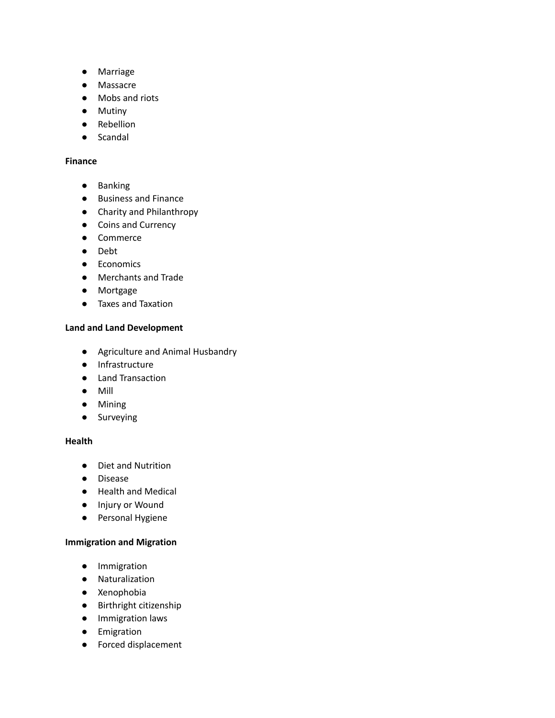- Marriage
- Massacre
- Mobs and riots
- Mutiny
- Rebellion
- Scandal

# **Finance**

- Banking
- Business and Finance
- Charity and Philanthropy
- Coins and Currency
- Commerce
- Debt
- Economics
- Merchants and Trade
- Mortgage
- Taxes and Taxation

#### **Land and Land Development**

- Agriculture and Animal Husbandry
- Infrastructure
- Land Transaction
- Mill
- Mining
- Surveying

# **Health**

- Diet and Nutrition
- Disease
- Health and Medical
- Injury or Wound
- Personal Hygiene

#### **Immigration and Migration**

- Immigration
- Naturalization
- Xenophobia
- Birthright citizenship
- Immigration laws
- Emigration
- Forced displacement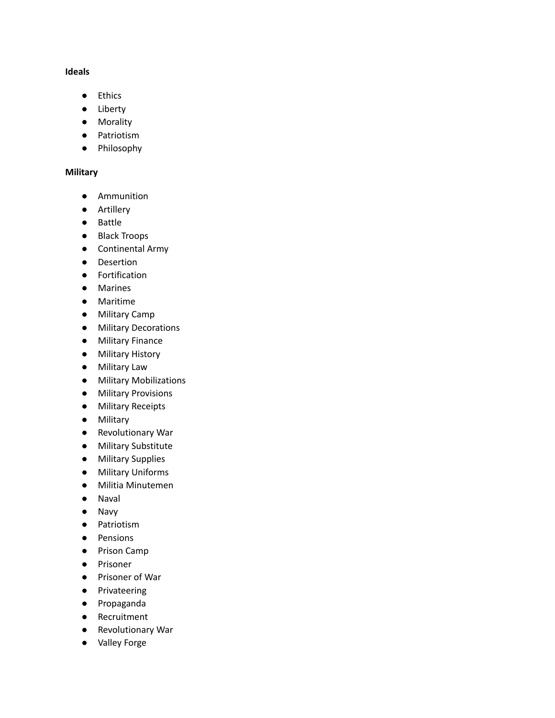#### **Ideals**

- Ethics
- Liberty
- Morality
- Patriotism
- Philosophy

# **Military**

- Ammunition
- Artillery
- Battle
- Black Troops
- Continental Army
- Desertion
- Fortification
- Marines
- Maritime
- Military Camp
- Military Decorations
- Military Finance
- Military History
- Military Law
- Military Mobilizations
- Military Provisions
- Military Receipts
- Military
- Revolutionary War
- Military Substitute
- Military Supplies
- Military Uniforms
- Militia Minutemen
- Naval
- Navy
- Patriotism
- Pensions
- Prison Camp
- Prisoner
- Prisoner of War
- Privateering
- Propaganda
- Recruitment
- Revolutionary War
- Valley Forge